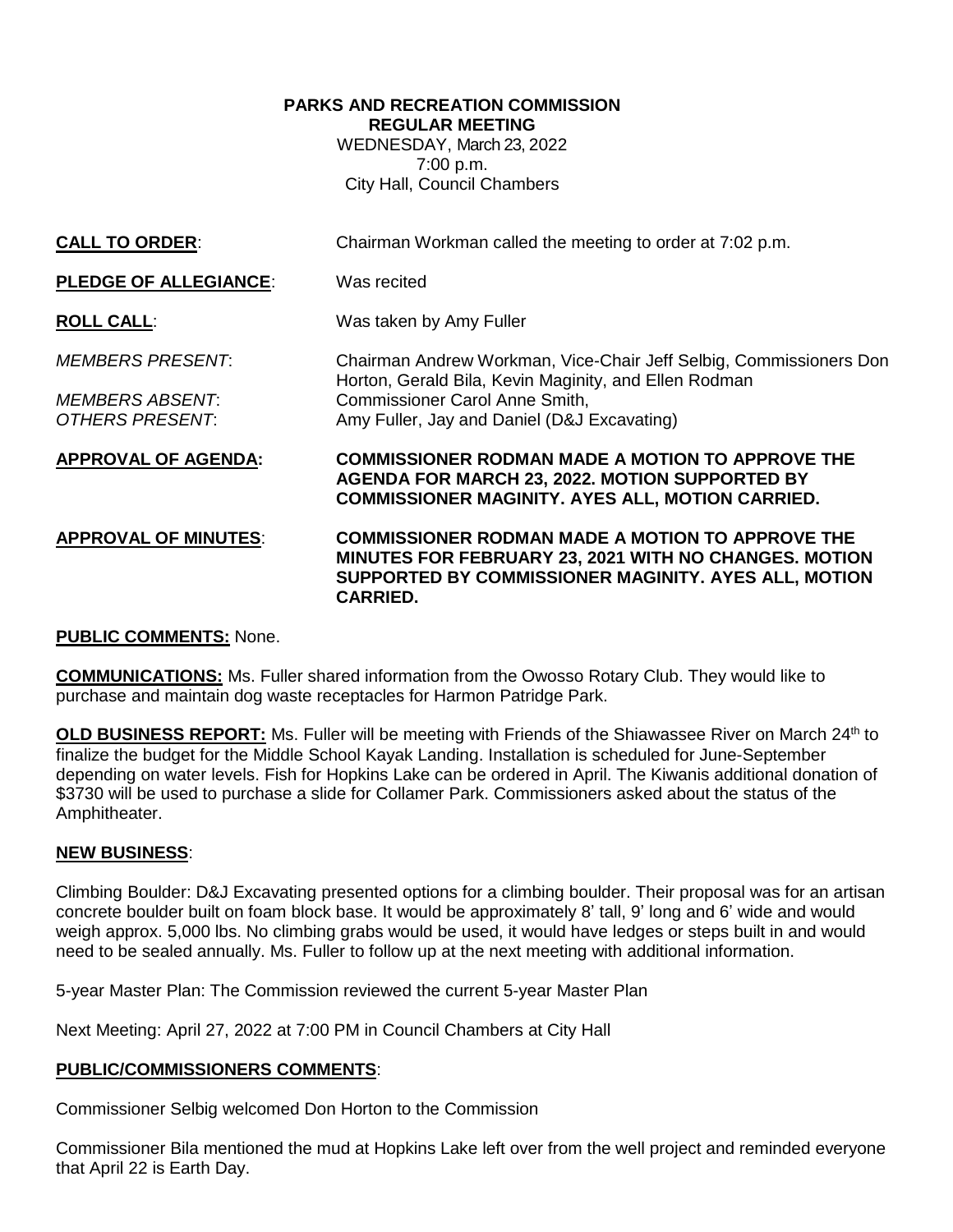### **PARKS AND RECREATION COMMISSION REGULAR MEETING** WEDNESDAY, March 23, 2022

7:00 p.m. City Hall, Council Chambers

| <b>CALL TO ORDER:</b>                                                | Chairman Workman called the meeting to order at 7:02 p.m.                                                                                                                                                           |
|----------------------------------------------------------------------|---------------------------------------------------------------------------------------------------------------------------------------------------------------------------------------------------------------------|
| <b>PLEDGE OF ALLEGIANCE:</b>                                         | Was recited                                                                                                                                                                                                         |
| <b>ROLL CALL:</b>                                                    | Was taken by Amy Fuller                                                                                                                                                                                             |
| <i>MEMBERS PRESENT:</i><br><i>MEMBERS ABSENT:</i><br>OTHERS PRESENT: | Chairman Andrew Workman, Vice-Chair Jeff Selbig, Commissioners Don<br>Horton, Gerald Bila, Kevin Maginity, and Ellen Rodman<br><b>Commissioner Carol Anne Smith,</b><br>Amy Fuller, Jay and Daniel (D&J Excavating) |
| <b>APPROVAL OF AGENDA:</b>                                           | <b>COMMISSIONER RODMAN MADE A MOTION TO APPROVE THE</b><br><b>AGENDA FOR MARCH 23, 2022. MOTION SUPPORTED BY</b><br><b>COMMISSIONER MAGINITY. AYES ALL, MOTION CARRIED.</b>                                         |
| <b>APPROVAL OF MINUTES:</b>                                          | <b>COMMISSIONER RODMAN MADE A MOTION TO APPROVE THE</b><br><b>MINUTES FOR FEBRUARY 23, 2021 WITH NO CHANGES. MOTION</b><br>SUPPORTED BY COMMISSIONER MAGINITY. AYES ALL, MOTION<br><b>CARRIED.</b>                  |

## **PUBLIC COMMENTS:** None.

**COMMUNICATIONS:** Ms. Fuller shared information from the Owosso Rotary Club. They would like to purchase and maintain dog waste receptacles for Harmon Patridge Park.

**OLD BUSINESS REPORT:** Ms. Fuller will be meeting with Friends of the Shiawassee River on March 24<sup>th</sup> to finalize the budget for the Middle School Kayak Landing. Installation is scheduled for June-September depending on water levels. Fish for Hopkins Lake can be ordered in April. The Kiwanis additional donation of \$3730 will be used to purchase a slide for Collamer Park. Commissioners asked about the status of the Amphitheater.

## **NEW BUSINESS**:

Climbing Boulder: D&J Excavating presented options for a climbing boulder. Their proposal was for an artisan concrete boulder built on foam block base. It would be approximately 8' tall, 9' long and 6' wide and would weigh approx. 5,000 lbs. No climbing grabs would be used, it would have ledges or steps built in and would need to be sealed annually. Ms. Fuller to follow up at the next meeting with additional information.

5-year Master Plan: The Commission reviewed the current 5-year Master Plan

Next Meeting: April 27, 2022 at 7:00 PM in Council Chambers at City Hall

## **PUBLIC/COMMISSIONERS COMMENTS**:

Commissioner Selbig welcomed Don Horton to the Commission

Commissioner Bila mentioned the mud at Hopkins Lake left over from the well project and reminded everyone that April 22 is Earth Day.